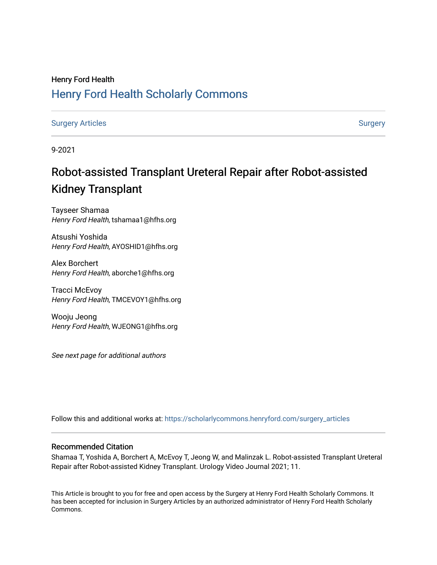# Henry Ford Health [Henry Ford Health Scholarly Commons](https://scholarlycommons.henryford.com/)

[Surgery Articles](https://scholarlycommons.henryford.com/surgery_articles) **[Surgery](https://scholarlycommons.henryford.com/surgery) Articles** Surgery

9-2021

# Robot-assisted Transplant Ureteral Repair after Robot-assisted Kidney Transplant

Tayseer Shamaa Henry Ford Health, tshamaa1@hfhs.org

Atsushi Yoshida Henry Ford Health, AYOSHID1@hfhs.org

Alex Borchert Henry Ford Health, aborche1@hfhs.org

Tracci McEvoy Henry Ford Health, TMCEVOY1@hfhs.org

Wooju Jeong Henry Ford Health, WJEONG1@hfhs.org

See next page for additional authors

Follow this and additional works at: [https://scholarlycommons.henryford.com/surgery\\_articles](https://scholarlycommons.henryford.com/surgery_articles?utm_source=scholarlycommons.henryford.com%2Fsurgery_articles%2F522&utm_medium=PDF&utm_campaign=PDFCoverPages)

#### Recommended Citation

Shamaa T, Yoshida A, Borchert A, McEvoy T, Jeong W, and Malinzak L. Robot-assisted Transplant Ureteral Repair after Robot-assisted Kidney Transplant. Urology Video Journal 2021; 11.

This Article is brought to you for free and open access by the Surgery at Henry Ford Health Scholarly Commons. It has been accepted for inclusion in Surgery Articles by an authorized administrator of Henry Ford Health Scholarly Commons.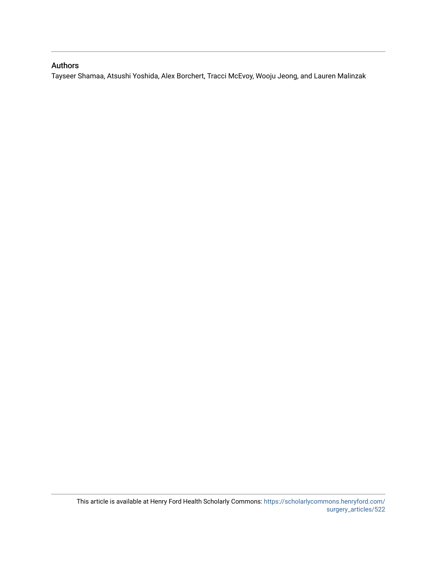### Authors

Tayseer Shamaa, Atsushi Yoshida, Alex Borchert, Tracci McEvoy, Wooju Jeong, and Lauren Malinzak